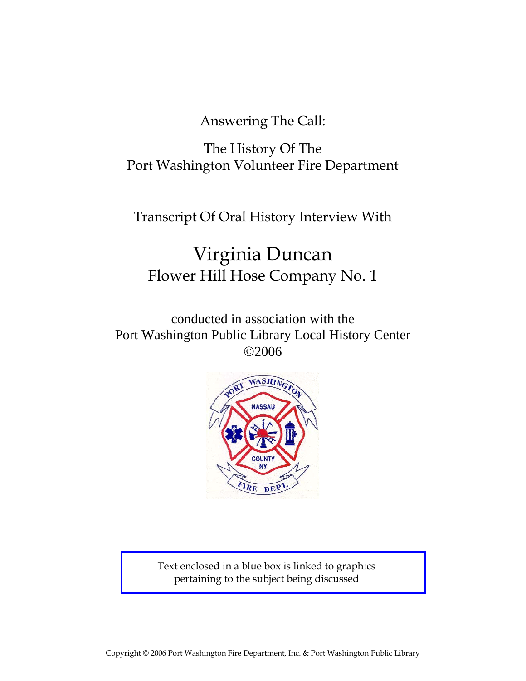Answering The Call:

The History Of The Port Washington Volunteer Fire Department

Transcript Of Oral History Interview With

# Virginia Duncan Flower Hill Hose Company No. 1

conducted in association with the Port Washington Public Library Local History Center ©2006



Text enclosed in a blue box is linked to graphics pertaining to the subject being discussed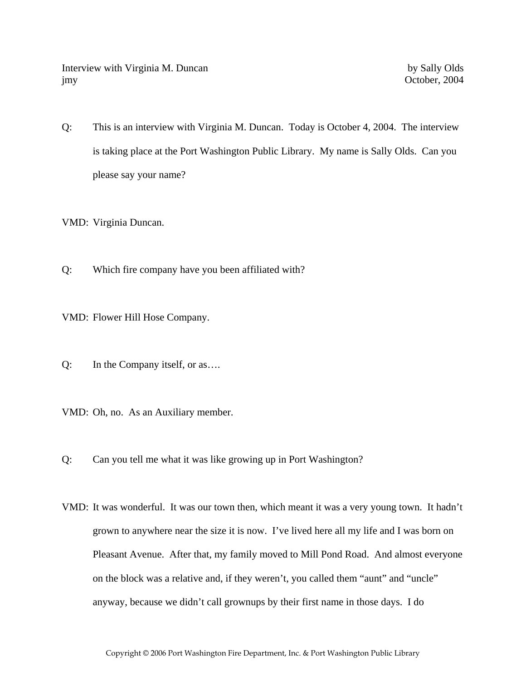Interview with Virginia M. Duncan by Sally Olds jmy October, 2004

Q: This is an interview with Virginia M. Duncan. Today is October 4, 2004. The interview is taking place at the Port Washington Public Library. My name is Sally Olds. Can you please say your name?

VMD: Virginia Duncan.

- Q: Which fire company have you been affiliated with?
- VMD: Flower Hill Hose Company.
- Q: In the Company itself, or as….
- VMD: Oh, no. As an Auxiliary member.
- Q: Can you tell me what it was like growing up in Port Washington?
- VMD: It was wonderful. It was our town then, which meant it was a very young town. It hadn't grown to anywhere near the size it is now. I've lived here all my life and I was born on Pleasant Avenue. After that, my family moved to Mill Pond Road. And almost everyone on the block was a relative and, if they weren't, you called them "aunt" and "uncle" anyway, because we didn't call grownups by their first name in those days. I do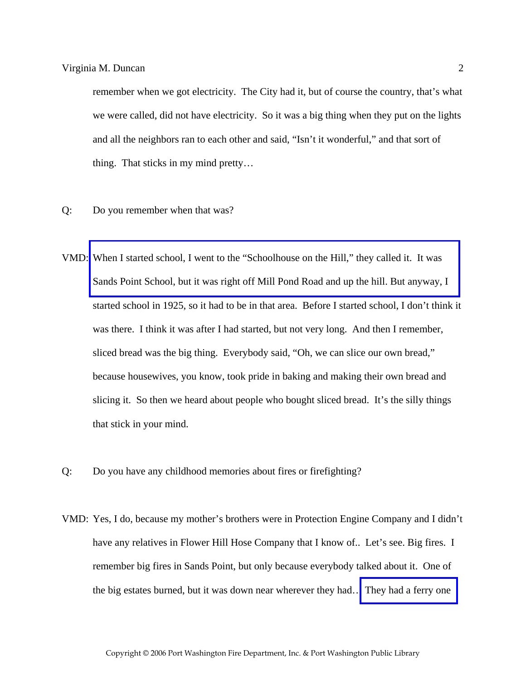remember when we got electricity. The City had it, but of course the country, that's what we were called, did not have electricity. So it was a big thing when they put on the lights and all the neighbors ran to each other and said, "Isn't it wonderful," and that sort of thing. That sticks in my mind pretty…

- Q: Do you remember when that was?
- VMD: When I started school, I went to the "Schoolhouse on the Hill," they called it. It was [Sands Point School, but it was right off Mill Pond Road and up the hill. But anyway, I](http://www.pwfdhistory.com/trans/duncanv_trans/lantern064_arrow.jpg)  started school in 1925, so it had to be in that area. Before I started school, I don't think it was there. I think it was after I had started, but not very long. And then I remember, sliced bread was the big thing. Everybody said, "Oh, we can slice our own bread," because housewives, you know, took pride in baking and making their own bread and slicing it. So then we heard about people who bought sliced bread. It's the silly things that stick in your mind.
- Q: Do you have any childhood memories about fires or firefighting?
- VMD: Yes, I do, because my mother's brothers were in Protection Engine Company and I didn't have any relatives in Flower Hill Hose Company that I know of.. Let's see. Big fires. I remember big fires in Sands Point, but only because everybody talked about it. One of the big estates burned, but it was down near wherever they had[… They had a ferry one](http://www.pwfdhistory.com/trans/duncanv_trans/lantern017.jpg)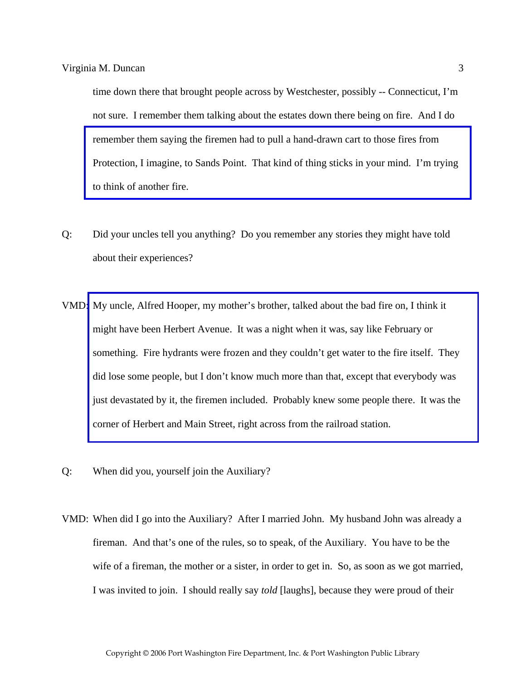time down there that brought people across by Westchester, possibly -- Connecticut, I'm not sure. I remember them talking about the estates down there being on fire. And I do remember them saying the firemen had to pull a hand-drawn cart to those fires from [Protection, I imagine, to Sands Point. That kind of thing sticks in your mind. I'm trying](http://www.pwfdhistory.com/trans/duncanv_trans/peco_trucks034.jpg)  to think of another fire.

- Q: Did your uncles tell you anything? Do you remember any stories they might have told about their experiences?
- VMD: My uncle, Alfred Hooper, my mother's brother, talked about the bad fire on, I think it might have been Herbert Avenue. It was a night when it was, say like February or something. Fire hydrants were frozen and they couldn't get water to the fire itself. They did lose some people, but I don't know much more than that, except that everybody was [just devastated by it, the firemen included. Probably knew some people there. It was the](http://www.pwfdhistory.com/trans/duncanv_trans/pnews220122_pz_web.pdf)  corner of Herbert and Main Street, right across from the railroad station.
- Q: When did you, yourself join the Auxiliary?
- VMD: When did I go into the Auxiliary? After I married John. My husband John was already a fireman. And that's one of the rules, so to speak, of the Auxiliary. You have to be the wife of a fireman, the mother or a sister, in order to get in. So, as soon as we got married, I was invited to join. I should really say *told* [laughs], because they were proud of their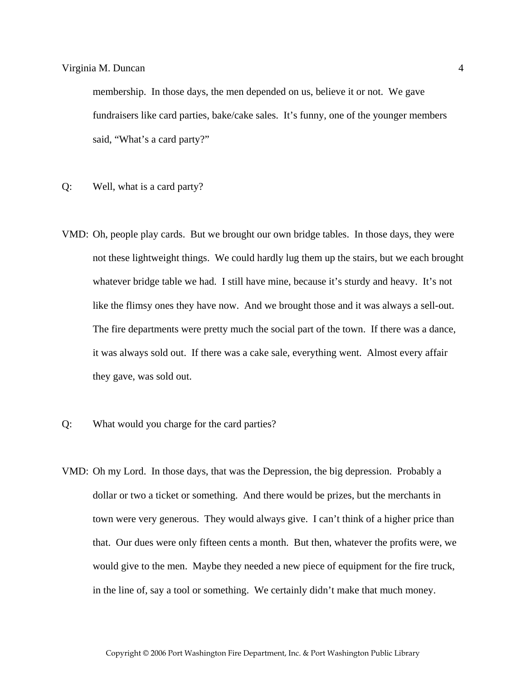membership. In those days, the men depended on us, believe it or not. We gave fundraisers like card parties, bake/cake sales. It's funny, one of the younger members said, "What's a card party?"

- Q: Well, what is a card party?
- VMD: Oh, people play cards. But we brought our own bridge tables. In those days, they were not these lightweight things. We could hardly lug them up the stairs, but we each brought whatever bridge table we had. I still have mine, because it's sturdy and heavy. It's not like the flimsy ones they have now. And we brought those and it was always a sell-out. The fire departments were pretty much the social part of the town. If there was a dance, it was always sold out. If there was a cake sale, everything went. Almost every affair they gave, was sold out.
- Q: What would you charge for the card parties?
- VMD: Oh my Lord. In those days, that was the Depression, the big depression. Probably a dollar or two a ticket or something. And there would be prizes, but the merchants in town were very generous. They would always give. I can't think of a higher price than that. Our dues were only fifteen cents a month. But then, whatever the profits were, we would give to the men. Maybe they needed a new piece of equipment for the fire truck, in the line of, say a tool or something. We certainly didn't make that much money.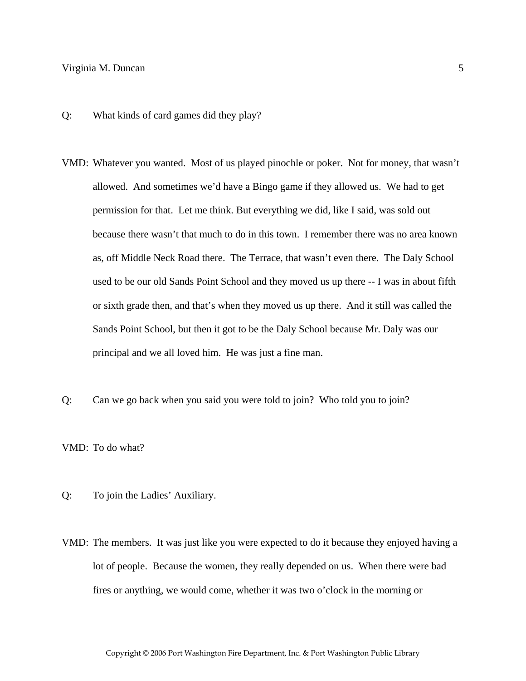- Q: What kinds of card games did they play?
- VMD: Whatever you wanted. Most of us played pinochle or poker. Not for money, that wasn't allowed. And sometimes we'd have a Bingo game if they allowed us. We had to get permission for that. Let me think. But everything we did, like I said, was sold out because there wasn't that much to do in this town. I remember there was no area known as, off Middle Neck Road there. The Terrace, that wasn't even there. The Daly School used to be our old Sands Point School and they moved us up there -- I was in about fifth or sixth grade then, and that's when they moved us up there. And it still was called the Sands Point School, but then it got to be the Daly School because Mr. Daly was our principal and we all loved him. He was just a fine man.
- Q: Can we go back when you said you were told to join? Who told you to join?

VMD: To do what?

- Q: To join the Ladies' Auxiliary.
- VMD: The members. It was just like you were expected to do it because they enjoyed having a lot of people. Because the women, they really depended on us. When there were bad fires or anything, we would come, whether it was two o'clock in the morning or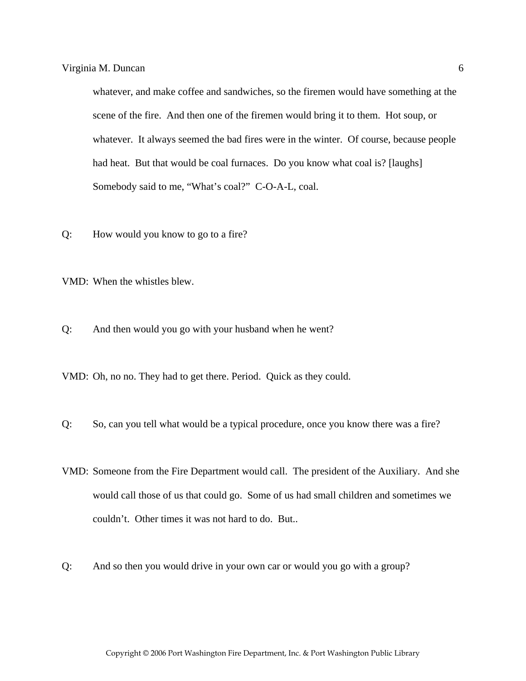whatever, and make coffee and sandwiches, so the firemen would have something at the scene of the fire. And then one of the firemen would bring it to them. Hot soup, or whatever. It always seemed the bad fires were in the winter. Of course, because people had heat. But that would be coal furnaces. Do you know what coal is? [laughs] Somebody said to me, "What's coal?" C-O-A-L, coal.

- Q: How would you know to go to a fire?
- VMD: When the whistles blew.
- Q: And then would you go with your husband when he went?
- VMD: Oh, no no. They had to get there. Period. Quick as they could.
- Q: So, can you tell what would be a typical procedure, once you know there was a fire?
- VMD: Someone from the Fire Department would call. The president of the Auxiliary. And she would call those of us that could go. Some of us had small children and sometimes we couldn't. Other times it was not hard to do. But..
- Q: And so then you would drive in your own car or would you go with a group?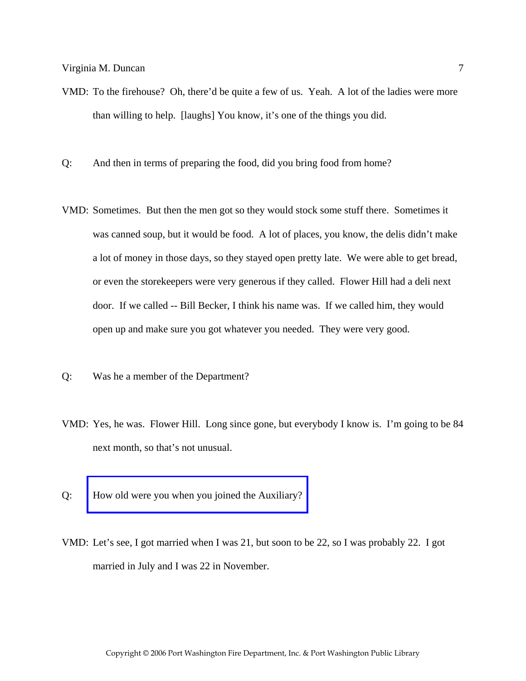- VMD: To the firehouse? Oh, there'd be quite a few of us. Yeah. A lot of the ladies were more than willing to help. [laughs] You know, it's one of the things you did.
- Q: And then in terms of preparing the food, did you bring food from home?
- VMD: Sometimes. But then the men got so they would stock some stuff there. Sometimes it was canned soup, but it would be food. A lot of places, you know, the delis didn't make a lot of money in those days, so they stayed open pretty late. We were able to get bread, or even the storekeepers were very generous if they called. Flower Hill had a deli next door. If we called -- Bill Becker, I think his name was. If we called him, they would open up and make sure you got whatever you needed. They were very good.
- Q: Was he a member of the Department?
- VMD: Yes, he was. Flower Hill. Long since gone, but everybody I know is. I'm going to be 84 next month, so that's not unusual.
- Q: [How old were you when you joined the Auxiliary?](http://www.pwfdhistory.com/trans/duncanv_trans/fhh_aux001_web.jpg)
- VMD: Let's see, I got married when I was 21, but soon to be 22, so I was probably 22. I got married in July and I was 22 in November.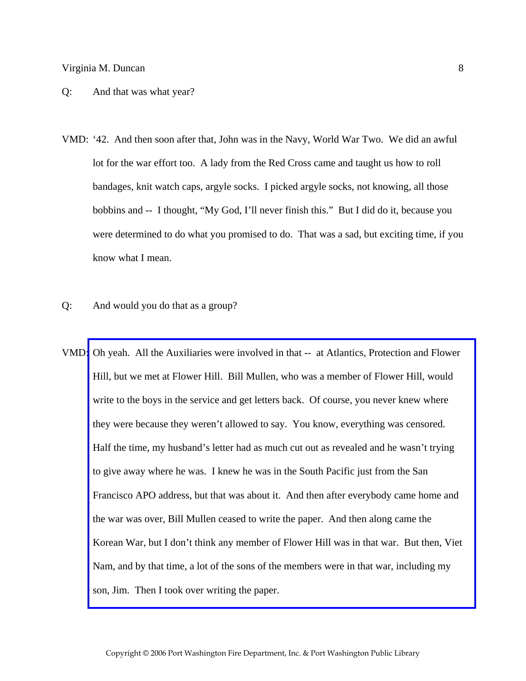#### Q: And that was what year?

- VMD: '42. And then soon after that, John was in the Navy, World War Two. We did an awful lot for the war effort too. A lady from the Red Cross came and taught us how to roll bandages, knit watch caps, argyle socks. I picked argyle socks, not knowing, all those bobbins and -- I thought, "My God, I'll never finish this." But I did do it, because you were determined to do what you promised to do. That was a sad, but exciting time, if you know what I mean.
- Q: And would you do that as a group?
- VMD[: Oh yeah. All the Auxiliaries were involved in that -- at Atlantics, Protection and Flower](http://www.pwfdhistory.com/trans/duncanv_trans/fhh_artifacts002.pdf)  Hill, but we met at Flower Hill. Bill Mullen, who was a member of Flower Hill, would write to the boys in the service and get letters back. Of course, you never knew where they were because they weren't allowed to say. You know, everything was censored. Half the time, my husband's letter had as much cut out as revealed and he wasn't trying to give away where he was. I knew he was in the South Pacific just from the San Francisco APO address, but that was about it. And then after everybody came home and the war was over, Bill Mullen ceased to write the paper. And then along came the Korean War, but I don't think any member of Flower Hill was in that war. But then, Viet Nam, and by that time, a lot of the sons of the members were in that war, including my son, Jim. Then I took over writing the paper.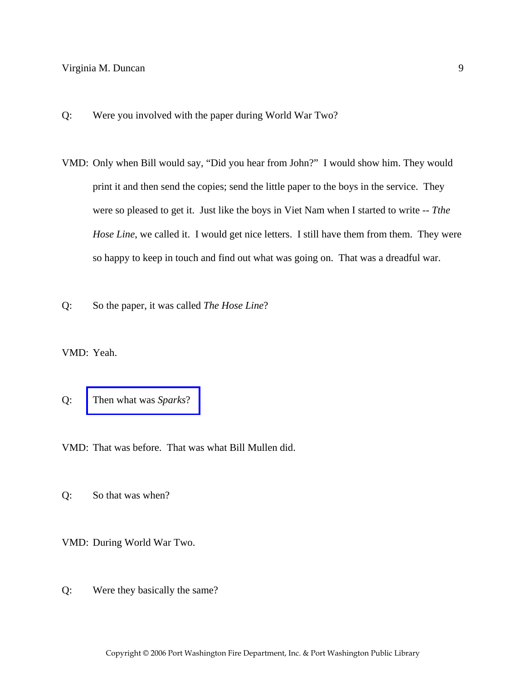- Q: Were you involved with the paper during World War Two?
- VMD: Only when Bill would say, "Did you hear from John?" I would show him. They would print it and then send the copies; send the little paper to the boys in the service. They were so pleased to get it. Just like the boys in Viet Nam when I started to write -- *Tthe Hose Line*, we called it. I would get nice letters. I still have them from them. They were so happy to keep in touch and find out what was going on. That was a dreadful war.
- Q: So the paper, it was called *The Hose Line*?

VMD: Yeah.

Q: [Then what was](http://www.pwfdhistory.com/trans/duncanv_trans/fhh_artifacts002.pdf) *Sparks*?

VMD: That was before. That was what Bill Mullen did.

Q: So that was when?

VMD: During World War Two.

Q: Were they basically the same?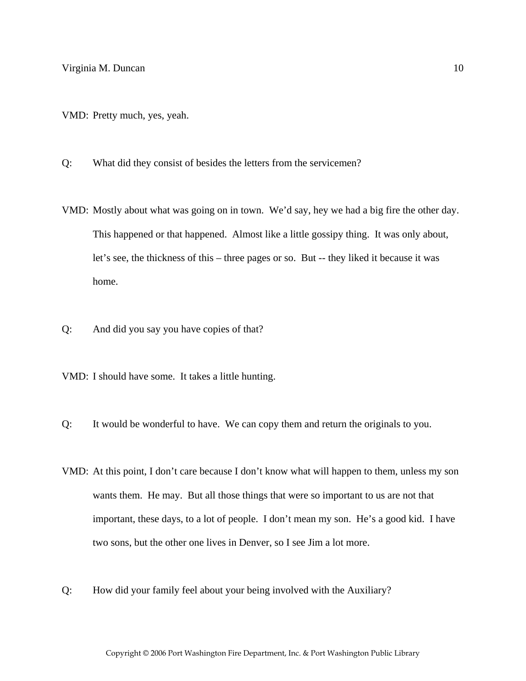- VMD: Pretty much, yes, yeah.
- Q: What did they consist of besides the letters from the servicemen?
- VMD: Mostly about what was going on in town. We'd say, hey we had a big fire the other day. This happened or that happened. Almost like a little gossipy thing. It was only about, let's see, the thickness of this – three pages or so. But -- they liked it because it was home.
- Q: And did you say you have copies of that?
- VMD: I should have some. It takes a little hunting.
- Q: It would be wonderful to have. We can copy them and return the originals to you.
- VMD: At this point, I don't care because I don't know what will happen to them, unless my son wants them. He may. But all those things that were so important to us are not that important, these days, to a lot of people. I don't mean my son. He's a good kid. I have two sons, but the other one lives in Denver, so I see Jim a lot more.
- Q: How did your family feel about your being involved with the Auxiliary?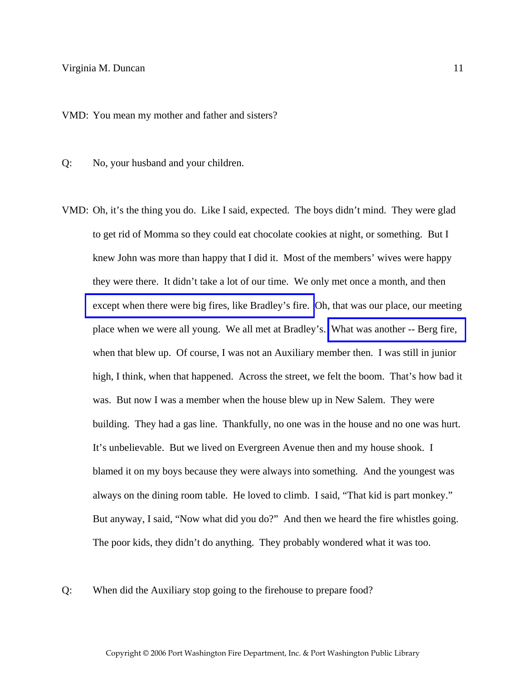VMD: You mean my mother and father and sisters?

Q: No, your husband and your children.

- VMD: Oh, it's the thing you do. Like I said, expected. The boys didn't mind. They were glad to get rid of Momma so they could eat chocolate cookies at night, or something. But I knew John was more than happy that I did it. Most of the members' wives were happy they were there. It didn't take a lot of our time. We only met once a month, and then [except when there were big fires, like Bradley's fire.](http://www.pwfdhistory.com/trans/duncanv_trans/peco_fires001.jpg) Oh, that was our place, our meeting place when we were all young. We all met at Bradley's. [What was another -- Berg fire,](http://www.pwfdhistory.com/trans/duncanv_trans/news_hewitt_1940-04_web.jpg)  when that blew up. Of course, I was not an Auxiliary member then. I was still in junior high, I think, when that happened. Across the street, we felt the boom. That's how bad it was. But now I was a member when the house blew up in New Salem. They were building. They had a gas line. Thankfully, no one was in the house and no one was hurt. It's unbelievable. But we lived on Evergreen Avenue then and my house shook. I blamed it on my boys because they were always into something. And the youngest was always on the dining room table. He loved to climb. I said, "That kid is part monkey." But anyway, I said, "Now what did you do?" And then we heard the fire whistles going. The poor kids, they didn't do anything. They probably wondered what it was too.
- Q: When did the Auxiliary stop going to the firehouse to prepare food?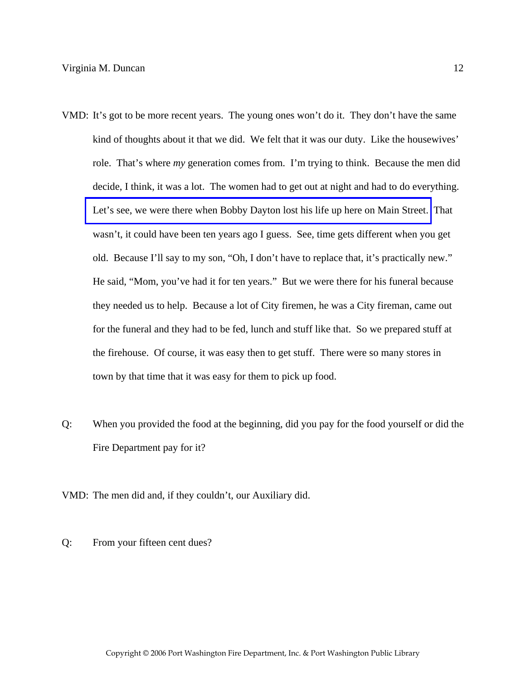- VMD: It's got to be more recent years. The young ones won't do it. They don't have the same kind of thoughts about it that we did. We felt that it was our duty. Like the housewives' role. That's where *my* generation comes from. I'm trying to think. Because the men did decide, I think, it was a lot. The women had to get out at night and had to do everything. [Let's see, we were there when Bobby Dayton lost his life up here on Main Street.](http://www.pwfdhistory.com/trans/duncanv_trans/pnews881201_pz_web.pdf) That wasn't, it could have been ten years ago I guess. See, time gets different when you get old. Because I'll say to my son, "Oh, I don't have to replace that, it's practically new." He said, "Mom, you've had it for ten years." But we were there for his funeral because they needed us to help. Because a lot of City firemen, he was a City fireman, came out for the funeral and they had to be fed, lunch and stuff like that. So we prepared stuff at the firehouse. Of course, it was easy then to get stuff. There were so many stores in town by that time that it was easy for them to pick up food.
- Q: When you provided the food at the beginning, did you pay for the food yourself or did the Fire Department pay for it?
- VMD: The men did and, if they couldn't, our Auxiliary did.
- Q: From your fifteen cent dues?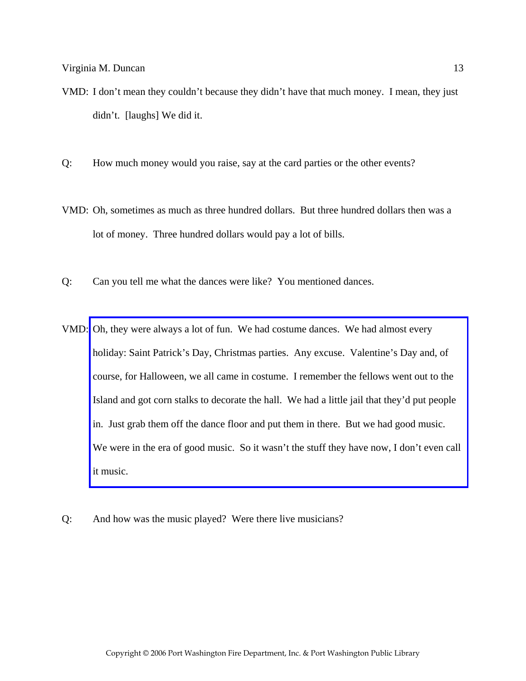- VMD: I don't mean they couldn't because they didn't have that much money. I mean, they just didn't. [laughs] We did it.
- Q: How much money would you raise, say at the card parties or the other events?
- VMD: Oh, sometimes as much as three hundred dollars. But three hundred dollars then was a lot of money. Three hundred dollars would pay a lot of bills.
- Q: Can you tell me what the dances were like? You mentioned dances.
- VMD: Oh, they were always a lot of fun. We had costume dances. We had almost every holiday: Saint Patrick's Day, Christmas parties. Any excuse. Valentine's Day and, of course, for Halloween, we all came in costume. I remember the fellows went out to the Island and got corn stalks to decorate the hall. We had a little jail that they'd put people in. Just grab them off the dance floor and put them in there. But we had good music. We were in the era of good music. So it wasn't the stuff they have now, I don't even call it music.
- Q: And how was the music played? Were there live musicians?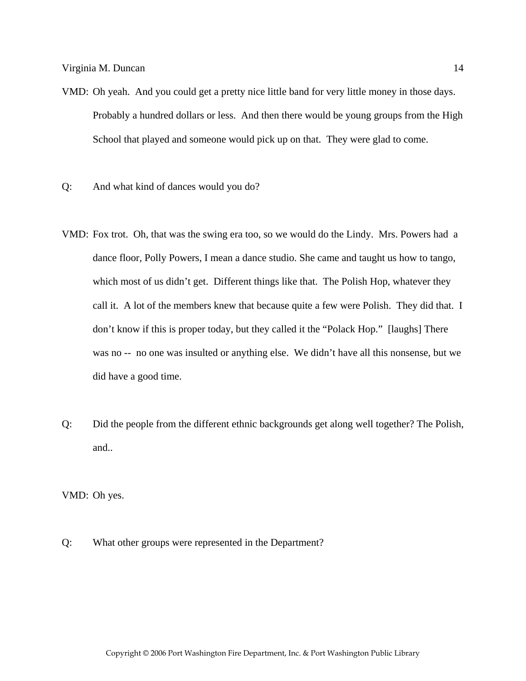- VMD: Oh yeah. And you could get a pretty nice little band for very little money in those days. Probably a hundred dollars or less. And then there would be young groups from the High School that played and someone would pick up on that. They were glad to come.
- Q: And what kind of dances would you do?
- VMD: Fox trot. Oh, that was the swing era too, so we would do the Lindy. Mrs. Powers had a dance floor, Polly Powers, I mean a dance studio. She came and taught us how to tango, which most of us didn't get. Different things like that. The Polish Hop, whatever they call it. A lot of the members knew that because quite a few were Polish. They did that. I don't know if this is proper today, but they called it the "Polack Hop." [laughs] There was no -- no one was insulted or anything else. We didn't have all this nonsense, but we did have a good time.
- Q: Did the people from the different ethnic backgrounds get along well together? The Polish, and..

VMD: Oh yes.

Q: What other groups were represented in the Department?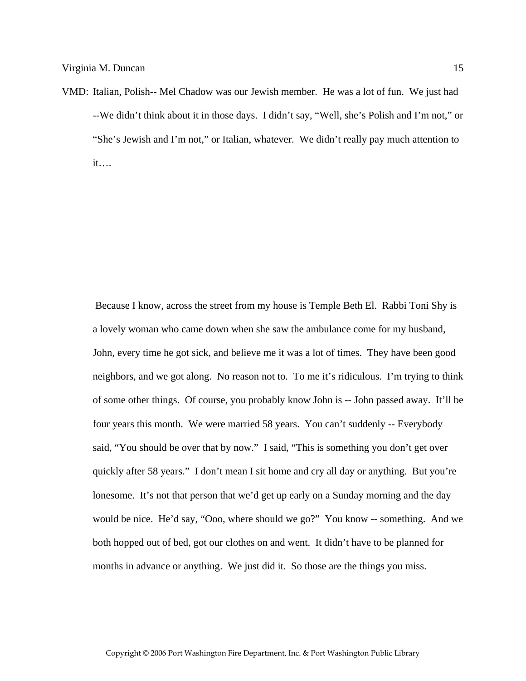VMD: Italian, Polish-- Mel Chadow was our Jewish member. He was a lot of fun. We just had --We didn't think about it in those days. I didn't say, "Well, she's Polish and I'm not," or "She's Jewish and I'm not," or Italian, whatever. We didn't really pay much attention to it….

 Because I know, across the street from my house is Temple Beth El. Rabbi Toni Shy is a lovely woman who came down when she saw the ambulance come for my husband, John, every time he got sick, and believe me it was a lot of times. They have been good neighbors, and we got along. No reason not to. To me it's ridiculous. I'm trying to think of some other things. Of course, you probably know John is -- John passed away. It'll be four years this month. We were married 58 years. You can't suddenly -- Everybody said, "You should be over that by now." I said, "This is something you don't get over quickly after 58 years." I don't mean I sit home and cry all day or anything. But you're lonesome. It's not that person that we'd get up early on a Sunday morning and the day would be nice. He'd say, "Ooo, where should we go?" You know -- something. And we both hopped out of bed, got our clothes on and went. It didn't have to be planned for months in advance or anything. We just did it. So those are the things you miss.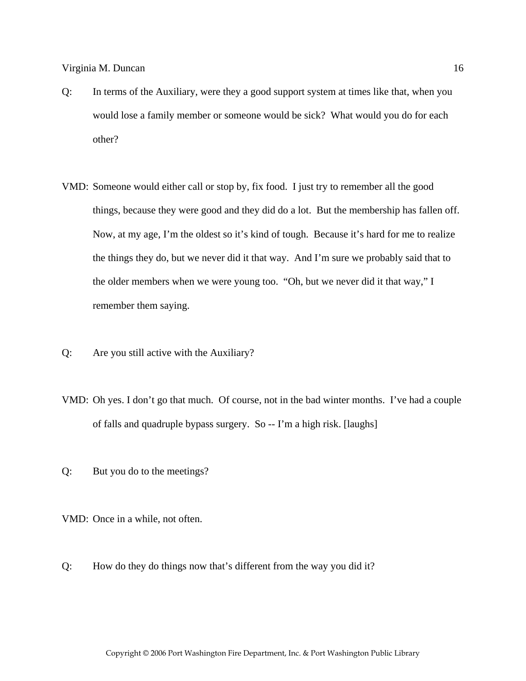- Q: In terms of the Auxiliary, were they a good support system at times like that, when you would lose a family member or someone would be sick? What would you do for each other?
- VMD: Someone would either call or stop by, fix food. I just try to remember all the good things, because they were good and they did do a lot. But the membership has fallen off. Now, at my age, I'm the oldest so it's kind of tough. Because it's hard for me to realize the things they do, but we never did it that way. And I'm sure we probably said that to the older members when we were young too. "Oh, but we never did it that way," I remember them saying.
- Q: Are you still active with the Auxiliary?
- VMD: Oh yes. I don't go that much. Of course, not in the bad winter months. I've had a couple of falls and quadruple bypass surgery. So -- I'm a high risk. [laughs]
- Q: But you do to the meetings?

VMD: Once in a while, not often.

Q: How do they do things now that's different from the way you did it?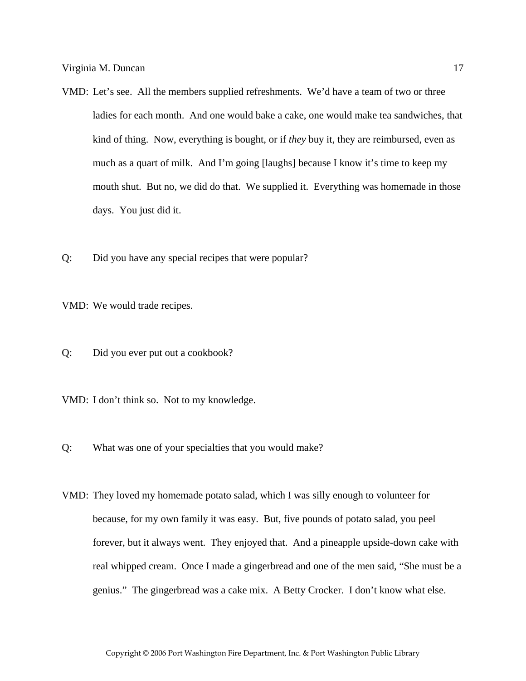- VMD: Let's see. All the members supplied refreshments. We'd have a team of two or three ladies for each month. And one would bake a cake, one would make tea sandwiches, that kind of thing. Now, everything is bought, or if *they* buy it, they are reimbursed, even as much as a quart of milk. And I'm going [laughs] because I know it's time to keep my mouth shut. But no, we did do that. We supplied it. Everything was homemade in those days. You just did it.
- Q: Did you have any special recipes that were popular?

VMD: We would trade recipes.

- Q: Did you ever put out a cookbook?
- VMD: I don't think so. Not to my knowledge.
- Q: What was one of your specialties that you would make?
- VMD: They loved my homemade potato salad, which I was silly enough to volunteer for because, for my own family it was easy. But, five pounds of potato salad, you peel forever, but it always went. They enjoyed that. And a pineapple upside-down cake with real whipped cream. Once I made a gingerbread and one of the men said, "She must be a genius." The gingerbread was a cake mix. A Betty Crocker. I don't know what else.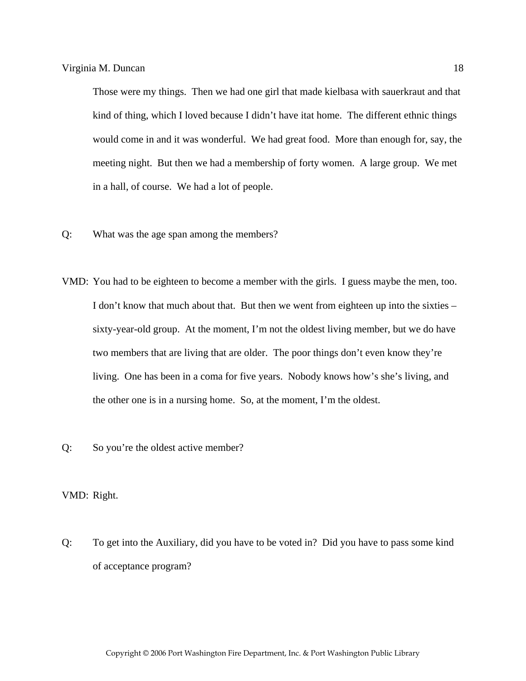Those were my things. Then we had one girl that made kielbasa with sauerkraut and that kind of thing, which I loved because I didn't have itat home. The different ethnic things would come in and it was wonderful. We had great food. More than enough for, say, the meeting night. But then we had a membership of forty women. A large group. We met in a hall, of course. We had a lot of people.

- Q: What was the age span among the members?
- VMD: You had to be eighteen to become a member with the girls. I guess maybe the men, too. I don't know that much about that. But then we went from eighteen up into the sixties – sixty-year-old group. At the moment, I'm not the oldest living member, but we do have two members that are living that are older. The poor things don't even know they're living. One has been in a coma for five years. Nobody knows how's she's living, and the other one is in a nursing home. So, at the moment, I'm the oldest.
- Q: So you're the oldest active member?

# VMD: Right.

Q: To get into the Auxiliary, did you have to be voted in? Did you have to pass some kind of acceptance program?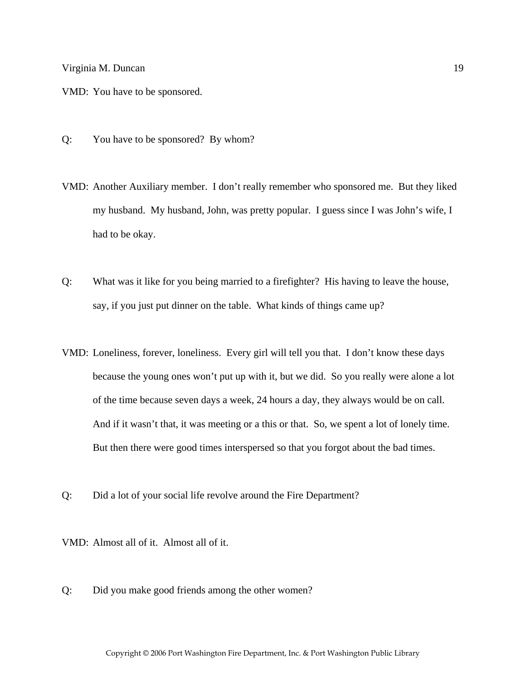VMD: You have to be sponsored.

- Q: You have to be sponsored? By whom?
- VMD: Another Auxiliary member. I don't really remember who sponsored me. But they liked my husband. My husband, John, was pretty popular. I guess since I was John's wife, I had to be okay.
- Q: What was it like for you being married to a firefighter? His having to leave the house, say, if you just put dinner on the table. What kinds of things came up?
- VMD: Loneliness, forever, loneliness. Every girl will tell you that. I don't know these days because the young ones won't put up with it, but we did. So you really were alone a lot of the time because seven days a week, 24 hours a day, they always would be on call. And if it wasn't that, it was meeting or a this or that. So, we spent a lot of lonely time. But then there were good times interspersed so that you forgot about the bad times.
- Q: Did a lot of your social life revolve around the Fire Department?

VMD: Almost all of it. Almost all of it.

Q: Did you make good friends among the other women?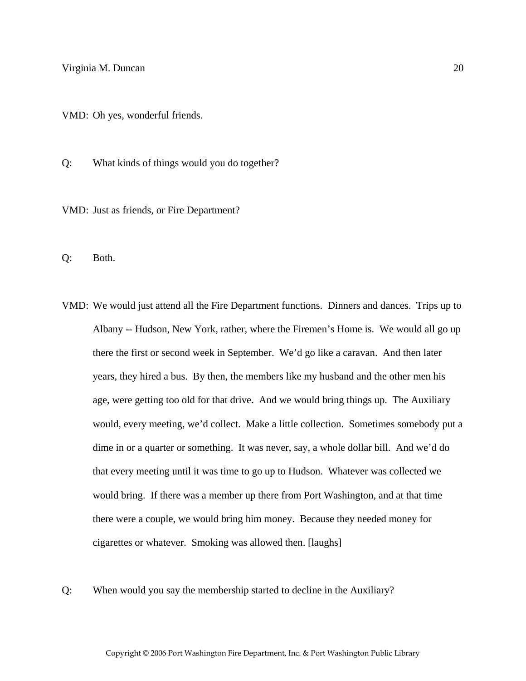VMD: Oh yes, wonderful friends.

Q: What kinds of things would you do together?

VMD: Just as friends, or Fire Department?

Q: Both.

- VMD: We would just attend all the Fire Department functions. Dinners and dances. Trips up to Albany -- Hudson, New York, rather, where the Firemen's Home is. We would all go up there the first or second week in September. We'd go like a caravan. And then later years, they hired a bus. By then, the members like my husband and the other men his age, were getting too old for that drive. And we would bring things up. The Auxiliary would, every meeting, we'd collect. Make a little collection. Sometimes somebody put a dime in or a quarter or something. It was never, say, a whole dollar bill. And we'd do that every meeting until it was time to go up to Hudson. Whatever was collected we would bring. If there was a member up there from Port Washington, and at that time there were a couple, we would bring him money. Because they needed money for cigarettes or whatever. Smoking was allowed then. [laughs]
- Q: When would you say the membership started to decline in the Auxiliary?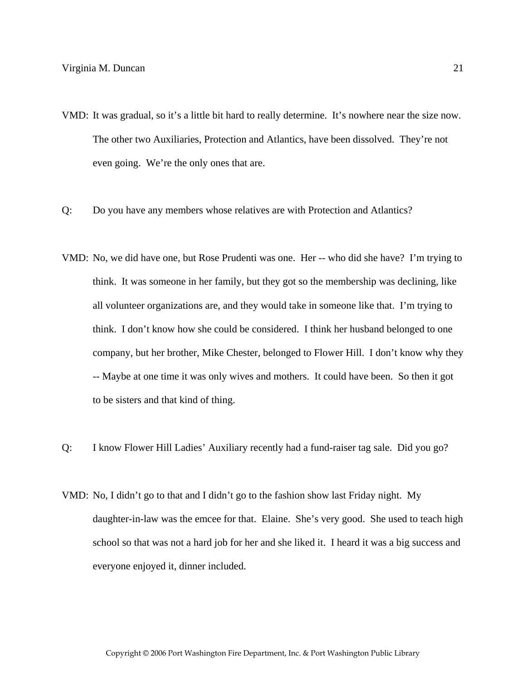- VMD: It was gradual, so it's a little bit hard to really determine. It's nowhere near the size now. The other two Auxiliaries, Protection and Atlantics, have been dissolved. They're not even going. We're the only ones that are.
- Q: Do you have any members whose relatives are with Protection and Atlantics?
- VMD: No, we did have one, but Rose Prudenti was one. Her -- who did she have? I'm trying to think. It was someone in her family, but they got so the membership was declining, like all volunteer organizations are, and they would take in someone like that. I'm trying to think. I don't know how she could be considered. I think her husband belonged to one company, but her brother, Mike Chester, belonged to Flower Hill. I don't know why they -- Maybe at one time it was only wives and mothers. It could have been. So then it got to be sisters and that kind of thing.
- Q: I know Flower Hill Ladies' Auxiliary recently had a fund-raiser tag sale. Did you go?
- VMD: No, I didn't go to that and I didn't go to the fashion show last Friday night. My daughter-in-law was the emcee for that. Elaine. She's very good. She used to teach high school so that was not a hard job for her and she liked it. I heard it was a big success and everyone enjoyed it, dinner included.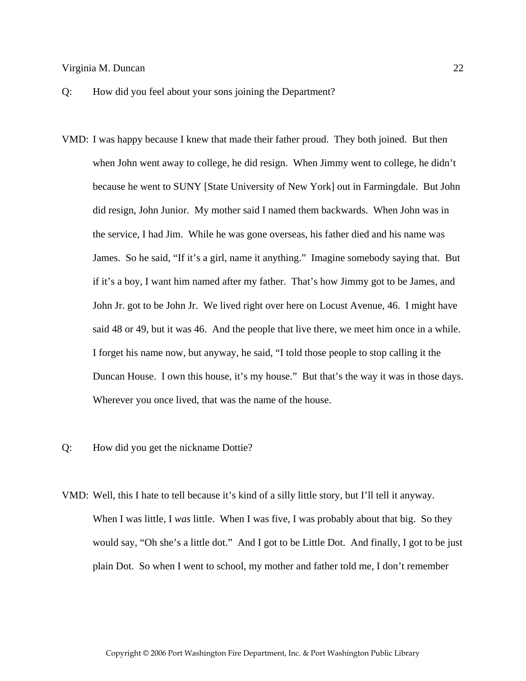- Q: How did you feel about your sons joining the Department?
- VMD: I was happy because I knew that made their father proud. They both joined. But then when John went away to college, he did resign. When Jimmy went to college, he didn't because he went to SUNY [State University of New York] out in Farmingdale. But John did resign, John Junior. My mother said I named them backwards. When John was in the service, I had Jim. While he was gone overseas, his father died and his name was James. So he said, "If it's a girl, name it anything." Imagine somebody saying that. But if it's a boy, I want him named after my father. That's how Jimmy got to be James, and John Jr. got to be John Jr. We lived right over here on Locust Avenue, 46. I might have said 48 or 49, but it was 46. And the people that live there, we meet him once in a while. I forget his name now, but anyway, he said, "I told those people to stop calling it the Duncan House. I own this house, it's my house." But that's the way it was in those days. Wherever you once lived, that was the name of the house.
- Q: How did you get the nickname Dottie?
- VMD: Well, this I hate to tell because it's kind of a silly little story, but I'll tell it anyway. When I was little, I *was* little. When I was five, I was probably about that big. So they would say, "Oh she's a little dot." And I got to be Little Dot. And finally, I got to be just plain Dot. So when I went to school, my mother and father told me, I don't remember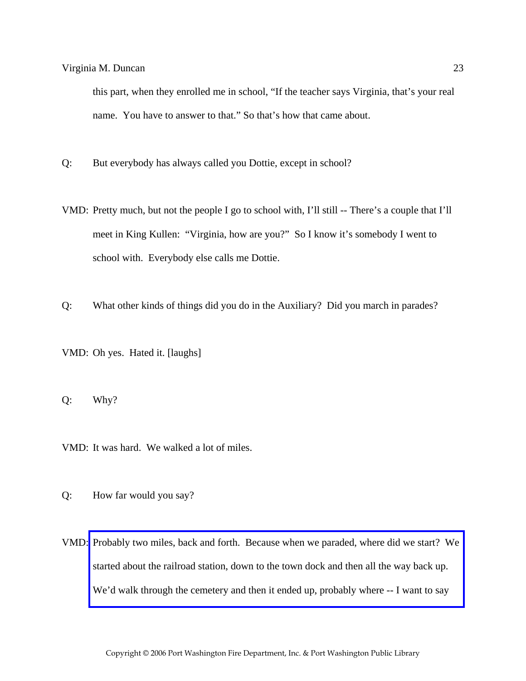this part, when they enrolled me in school, "If the teacher says Virginia, that's your real name. You have to answer to that." So that's how that came about.

- Q: But everybody has always called you Dottie, except in school?
- VMD: Pretty much, but not the people I go to school with, I'll still -- There's a couple that I'll meet in King Kullen: "Virginia, how are you?" So I know it's somebody I went to school with. Everybody else calls me Dottie.
- Q: What other kinds of things did you do in the Auxiliary? Did you march in parades?
- VMD: Oh yes. Hated it. [laughs]

Q: Why?

VMD: It was hard. We walked a lot of miles.

- Q: How far would you say?
- VMD: [Probably two miles, back and forth. Because when we paraded, where did we start? We](http://www.pwfdhistory.com/trans/duncanv_trans/peco_parades002_web.jpg)  started about the railroad station, down to the town dock and then all the way back up. We'd walk through the cemetery and then it ended up, probably where -- I want to say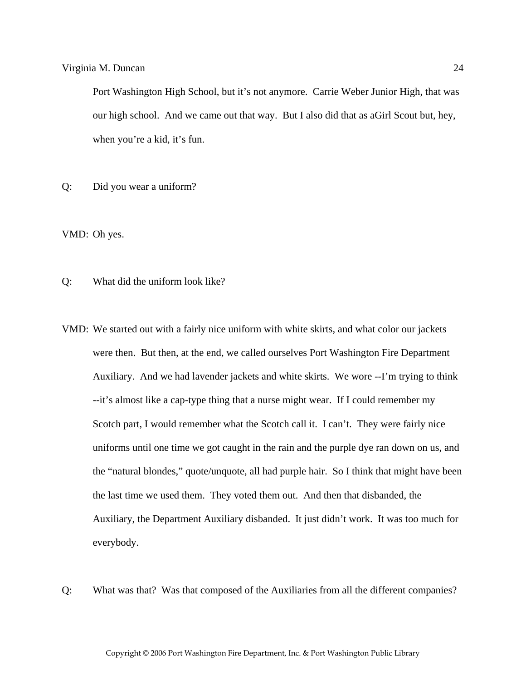Port Washington High School, but it's not anymore. Carrie Weber Junior High, that was our high school. And we came out that way. But I also did that as aGirl Scout but, hey, when you're a kid, it's fun.

Q: Did you wear a uniform?

VMD: Oh yes.

Q: What did the uniform look like?

- VMD: We started out with a fairly nice uniform with white skirts, and what color our jackets were then. But then, at the end, we called ourselves Port Washington Fire Department Auxiliary. And we had lavender jackets and white skirts. We wore --I'm trying to think --it's almost like a cap-type thing that a nurse might wear. If I could remember my Scotch part, I would remember what the Scotch call it. I can't. They were fairly nice uniforms until one time we got caught in the rain and the purple dye ran down on us, and the "natural blondes," quote/unquote, all had purple hair. So I think that might have been the last time we used them. They voted them out. And then that disbanded, the Auxiliary, the Department Auxiliary disbanded. It just didn't work. It was too much for everybody.
- Q: What was that? Was that composed of the Auxiliaries from all the different companies?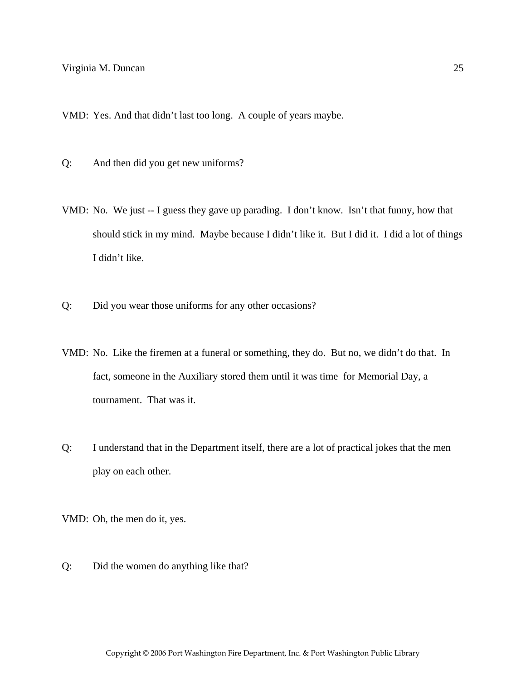VMD: Yes. And that didn't last too long. A couple of years maybe.

- Q: And then did you get new uniforms?
- VMD: No. We just -- I guess they gave up parading. I don't know. Isn't that funny, how that should stick in my mind. Maybe because I didn't like it. But I did it. I did a lot of things I didn't like.
- Q: Did you wear those uniforms for any other occasions?
- VMD: No. Like the firemen at a funeral or something, they do. But no, we didn't do that. In fact, someone in the Auxiliary stored them until it was time for Memorial Day, a tournament. That was it.
- Q: I understand that in the Department itself, there are a lot of practical jokes that the men play on each other.

VMD: Oh, the men do it, yes.

Q: Did the women do anything like that?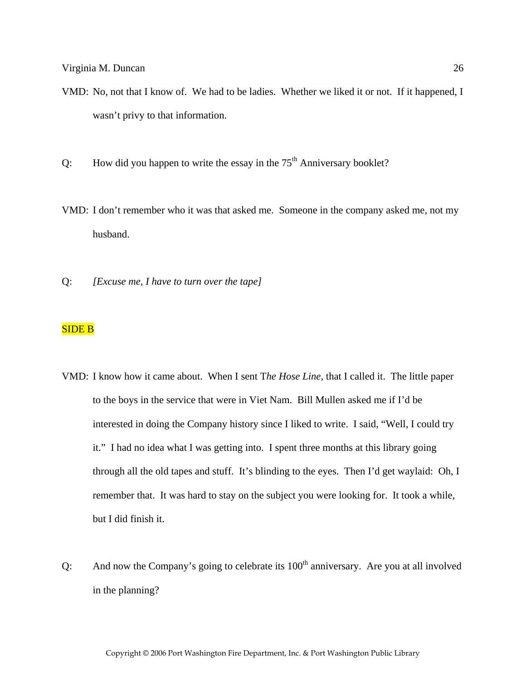- VMD: No, not that I know of. We had to be ladies. Whether we liked it or not. If it happened, I wasn't privy to that information.
- Q: How did you happen to write the essay in the  $75<sup>th</sup>$  Anniversary booklet?
- VMD: I don't remember who it was that asked me. Someone in the company asked me, not my husband.
- Q: *[Excuse me, I have to turn over the tape]*

# SIDE B

- VMD: I know how it came about. When I sent T*he Hose Line*, that I called it. The little paper to the boys in the service that were in Viet Nam. Bill Mullen asked me if I'd be interested in doing the Company history since I liked to write. I said, "Well, I could try it." I had no idea what I was getting into. I spent three months at this library going through all the old tapes and stuff. It's blinding to the eyes. Then I'd get waylaid: Oh, I remember that. It was hard to stay on the subject you were looking for. It took a while, but I did finish it.
- Q: And now the Company's going to celebrate its  $100<sup>th</sup>$  anniversary. Are you at all involved in the planning?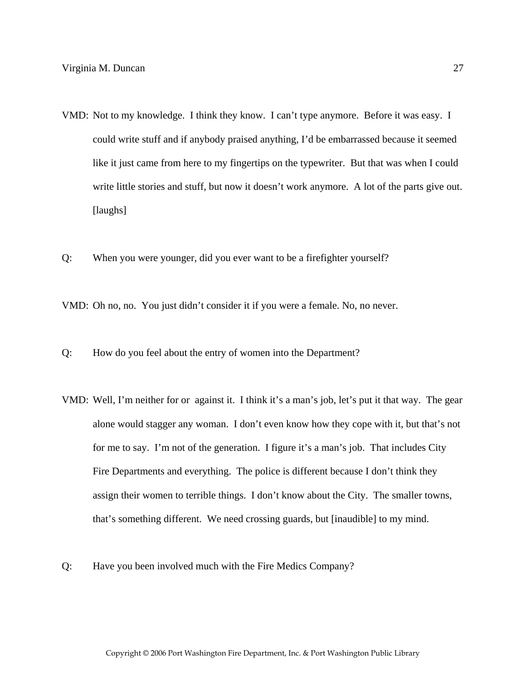- VMD: Not to my knowledge. I think they know. I can't type anymore. Before it was easy. I could write stuff and if anybody praised anything, I'd be embarrassed because it seemed like it just came from here to my fingertips on the typewriter. But that was when I could write little stories and stuff, but now it doesn't work anymore. A lot of the parts give out. [laughs]
- Q: When you were younger, did you ever want to be a firefighter yourself?

VMD: Oh no, no. You just didn't consider it if you were a female. No, no never.

- Q: How do you feel about the entry of women into the Department?
- VMD: Well, I'm neither for or against it. I think it's a man's job, let's put it that way. The gear alone would stagger any woman. I don't even know how they cope with it, but that's not for me to say. I'm not of the generation. I figure it's a man's job. That includes City Fire Departments and everything. The police is different because I don't think they assign their women to terrible things. I don't know about the City. The smaller towns, that's something different. We need crossing guards, but [inaudible] to my mind.
- Q: Have you been involved much with the Fire Medics Company?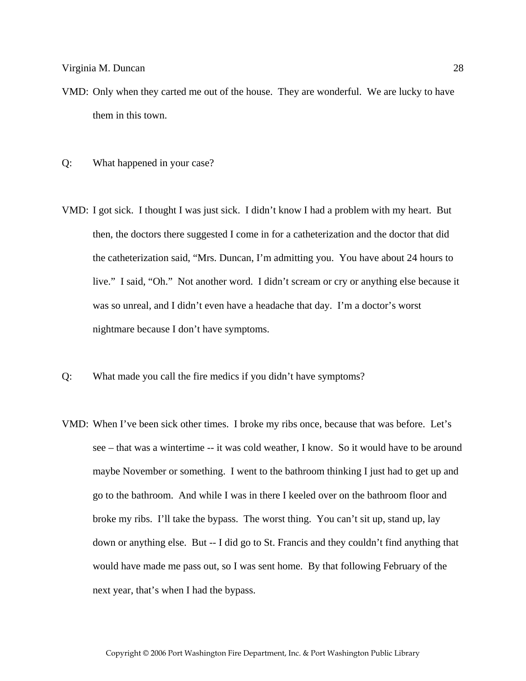- VMD: Only when they carted me out of the house. They are wonderful. We are lucky to have them in this town.
- Q: What happened in your case?
- VMD: I got sick. I thought I was just sick. I didn't know I had a problem with my heart. But then, the doctors there suggested I come in for a catheterization and the doctor that did the catheterization said, "Mrs. Duncan, I'm admitting you. You have about 24 hours to live." I said, "Oh." Not another word. I didn't scream or cry or anything else because it was so unreal, and I didn't even have a headache that day. I'm a doctor's worst nightmare because I don't have symptoms.
- Q: What made you call the fire medics if you didn't have symptoms?
- VMD: When I've been sick other times. I broke my ribs once, because that was before. Let's see – that was a wintertime -- it was cold weather, I know. So it would have to be around maybe November or something. I went to the bathroom thinking I just had to get up and go to the bathroom. And while I was in there I keeled over on the bathroom floor and broke my ribs. I'll take the bypass. The worst thing. You can't sit up, stand up, lay down or anything else. But -- I did go to St. Francis and they couldn't find anything that would have made me pass out, so I was sent home. By that following February of the next year, that's when I had the bypass.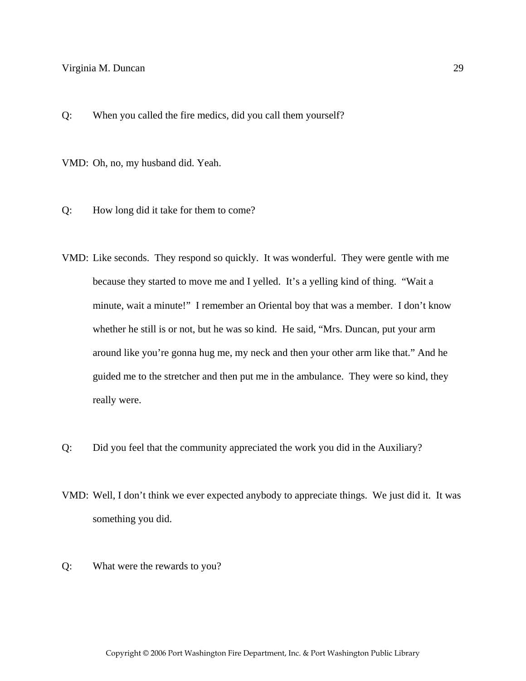Q: When you called the fire medics, did you call them yourself?

VMD: Oh, no, my husband did. Yeah.

- Q: How long did it take for them to come?
- VMD: Like seconds. They respond so quickly. It was wonderful. They were gentle with me because they started to move me and I yelled. It's a yelling kind of thing. "Wait a minute, wait a minute!" I remember an Oriental boy that was a member. I don't know whether he still is or not, but he was so kind. He said, "Mrs. Duncan, put your arm around like you're gonna hug me, my neck and then your other arm like that." And he guided me to the stretcher and then put me in the ambulance. They were so kind, they really were.
- Q: Did you feel that the community appreciated the work you did in the Auxiliary?
- VMD: Well, I don't think we ever expected anybody to appreciate things. We just did it. It was something you did.
- Q: What were the rewards to you?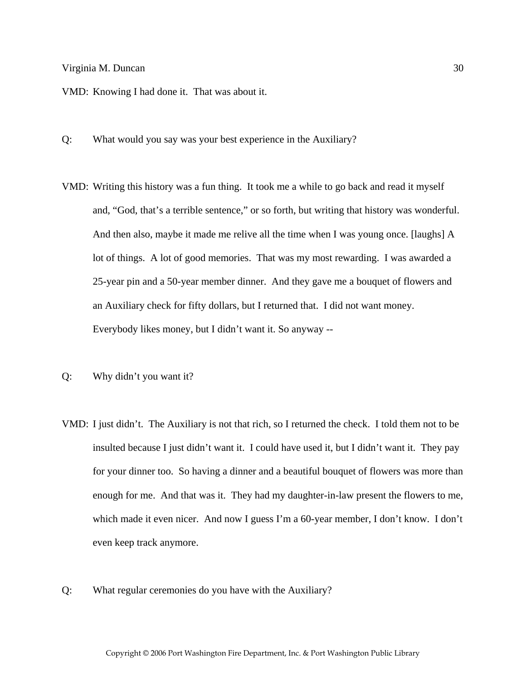VMD: Knowing I had done it. That was about it.

- Q: What would you say was your best experience in the Auxiliary?
- VMD: Writing this history was a fun thing. It took me a while to go back and read it myself and, "God, that's a terrible sentence," or so forth, but writing that history was wonderful. And then also, maybe it made me relive all the time when I was young once. [laughs] A lot of things. A lot of good memories. That was my most rewarding. I was awarded a 25-year pin and a 50-year member dinner. And they gave me a bouquet of flowers and an Auxiliary check for fifty dollars, but I returned that. I did not want money. Everybody likes money, but I didn't want it. So anyway --
- Q: Why didn't you want it?
- VMD: I just didn't. The Auxiliary is not that rich, so I returned the check. I told them not to be insulted because I just didn't want it. I could have used it, but I didn't want it. They pay for your dinner too. So having a dinner and a beautiful bouquet of flowers was more than enough for me. And that was it. They had my daughter-in-law present the flowers to me, which made it even nicer. And now I guess I'm a 60-year member, I don't know. I don't even keep track anymore.
- Q: What regular ceremonies do you have with the Auxiliary?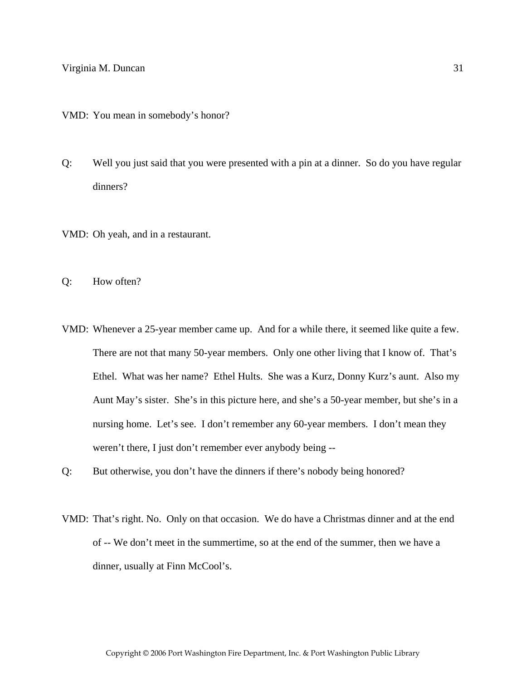VMD: You mean in somebody's honor?

- Q: Well you just said that you were presented with a pin at a dinner. So do you have regular dinners?
- VMD: Oh yeah, and in a restaurant.
- Q: How often?
- VMD: Whenever a 25-year member came up. And for a while there, it seemed like quite a few. There are not that many 50-year members. Only one other living that I know of. That's Ethel. What was her name? Ethel Hults. She was a Kurz, Donny Kurz's aunt. Also my Aunt May's sister. She's in this picture here, and she's a 50-year member, but she's in a nursing home. Let's see. I don't remember any 60-year members. I don't mean they weren't there, I just don't remember ever anybody being --
- Q: But otherwise, you don't have the dinners if there's nobody being honored?
- VMD: That's right. No. Only on that occasion. We do have a Christmas dinner and at the end of -- We don't meet in the summertime, so at the end of the summer, then we have a dinner, usually at Finn McCool's.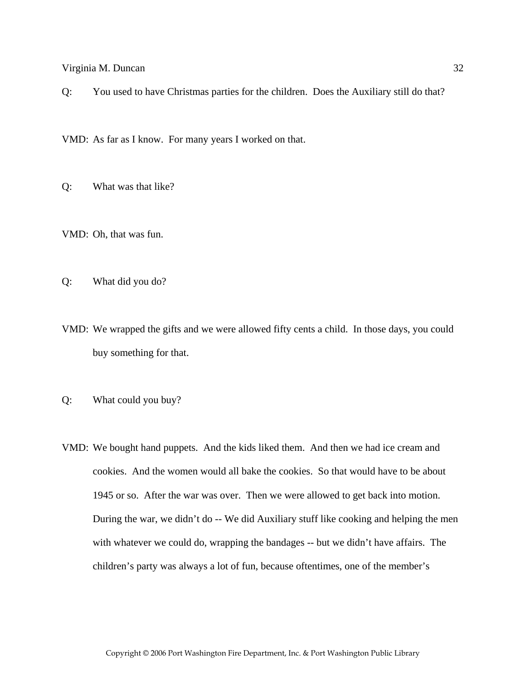Q: You used to have Christmas parties for the children. Does the Auxiliary still do that?

VMD: As far as I know. For many years I worked on that.

Q: What was that like?

VMD: Oh, that was fun.

Q: What did you do?

VMD: We wrapped the gifts and we were allowed fifty cents a child. In those days, you could buy something for that.

Q: What could you buy?

VMD: We bought hand puppets. And the kids liked them. And then we had ice cream and cookies. And the women would all bake the cookies. So that would have to be about 1945 or so. After the war was over. Then we were allowed to get back into motion. During the war, we didn't do -- We did Auxiliary stuff like cooking and helping the men with whatever we could do, wrapping the bandages -- but we didn't have affairs. The children's party was always a lot of fun, because oftentimes, one of the member's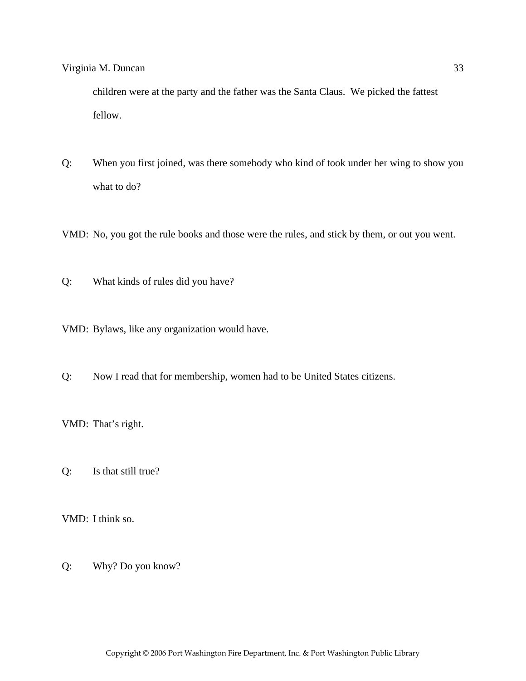children were at the party and the father was the Santa Claus. We picked the fattest fellow.

Q: When you first joined, was there somebody who kind of took under her wing to show you what to do?

VMD: No, you got the rule books and those were the rules, and stick by them, or out you went.

Q: What kinds of rules did you have?

VMD: Bylaws, like any organization would have.

Q: Now I read that for membership, women had to be United States citizens.

VMD: That's right.

Q: Is that still true?

VMD: I think so.

Q: Why? Do you know?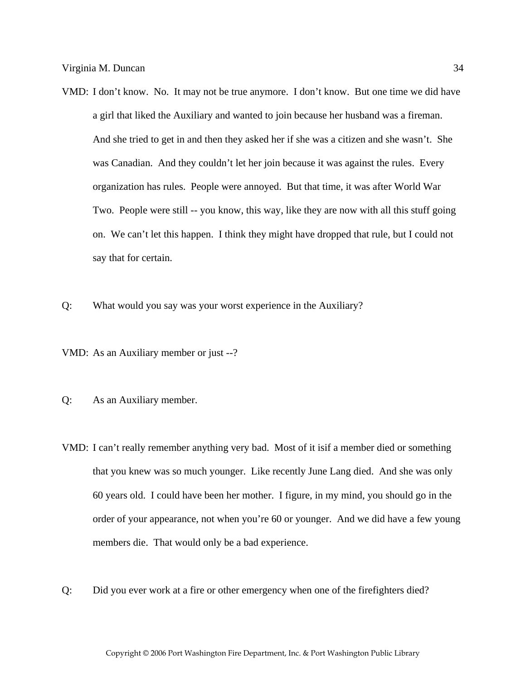- VMD: I don't know. No. It may not be true anymore. I don't know. But one time we did have a girl that liked the Auxiliary and wanted to join because her husband was a fireman. And she tried to get in and then they asked her if she was a citizen and she wasn't. She was Canadian. And they couldn't let her join because it was against the rules. Every organization has rules. People were annoyed. But that time, it was after World War Two. People were still -- you know, this way, like they are now with all this stuff going on. We can't let this happen. I think they might have dropped that rule, but I could not say that for certain.
- Q: What would you say was your worst experience in the Auxiliary?

VMD: As an Auxiliary member or just --?

- Q: As an Auxiliary member.
- VMD: I can't really remember anything very bad. Most of it isif a member died or something that you knew was so much younger. Like recently June Lang died. And she was only 60 years old. I could have been her mother. I figure, in my mind, you should go in the order of your appearance, not when you're 60 or younger. And we did have a few young members die. That would only be a bad experience.
- Q: Did you ever work at a fire or other emergency when one of the firefighters died?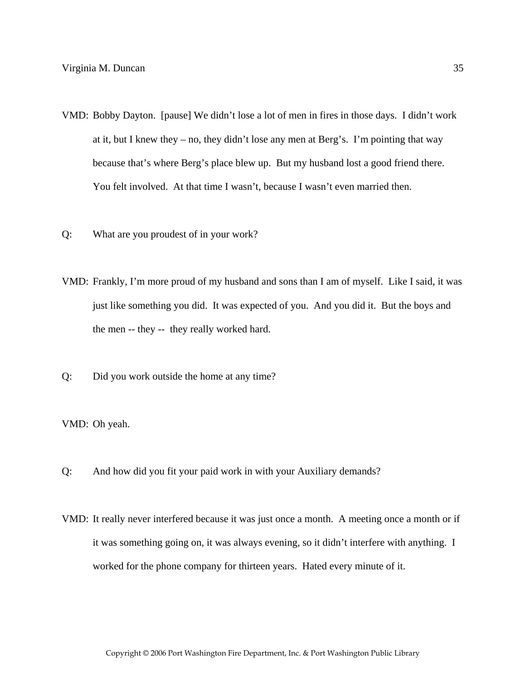- VMD: Bobby Dayton. [pause] We didn't lose a lot of men in fires in those days. I didn't work at it, but I knew they – no, they didn't lose any men at Berg's. I'm pointing that way because that's where Berg's place blew up. But my husband lost a good friend there. You felt involved. At that time I wasn't, because I wasn't even married then.
- Q: What are you proudest of in your work?
- VMD: Frankly, I'm more proud of my husband and sons than I am of myself. Like I said, it was just like something you did. It was expected of you. And you did it. But the boys and the men -- they -- they really worked hard.
- Q: Did you work outside the home at any time?

VMD: Oh yeah.

- Q: And how did you fit your paid work in with your Auxiliary demands?
- VMD: It really never interfered because it was just once a month. A meeting once a month or if it was something going on, it was always evening, so it didn't interfere with anything. I worked for the phone company for thirteen years. Hated every minute of it.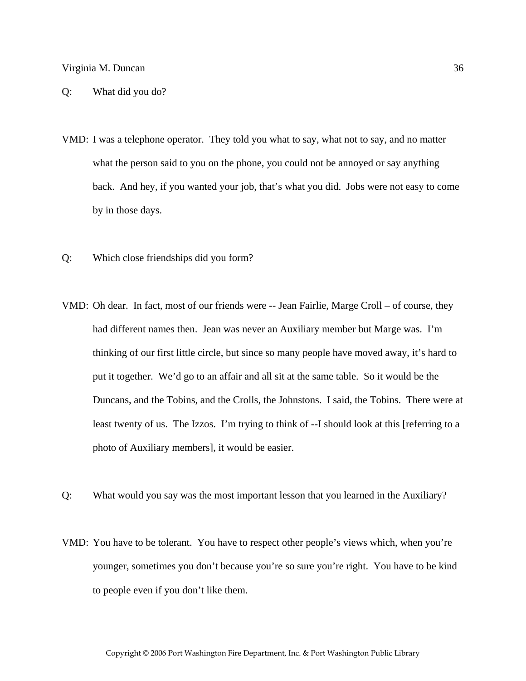#### Q: What did you do?

- VMD: I was a telephone operator. They told you what to say, what not to say, and no matter what the person said to you on the phone, you could not be annoyed or say anything back. And hey, if you wanted your job, that's what you did. Jobs were not easy to come by in those days.
- Q: Which close friendships did you form?
- VMD: Oh dear. In fact, most of our friends were -- Jean Fairlie, Marge Croll of course, they had different names then. Jean was never an Auxiliary member but Marge was. I'm thinking of our first little circle, but since so many people have moved away, it's hard to put it together. We'd go to an affair and all sit at the same table. So it would be the Duncans, and the Tobins, and the Crolls, the Johnstons. I said, the Tobins. There were at least twenty of us. The Izzos. I'm trying to think of --I should look at this [referring to a photo of Auxiliary members], it would be easier.
- Q: What would you say was the most important lesson that you learned in the Auxiliary?
- VMD: You have to be tolerant. You have to respect other people's views which, when you're younger, sometimes you don't because you're so sure you're right. You have to be kind to people even if you don't like them.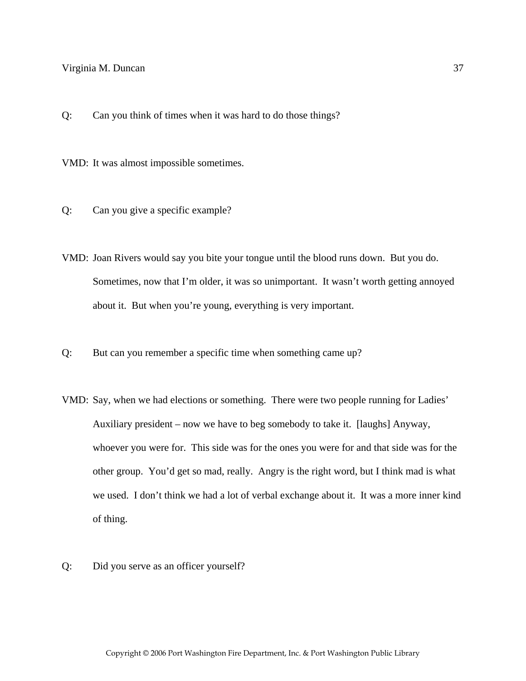Q: Can you think of times when it was hard to do those things?

VMD: It was almost impossible sometimes.

- Q: Can you give a specific example?
- VMD: Joan Rivers would say you bite your tongue until the blood runs down. But you do. Sometimes, now that I'm older, it was so unimportant. It wasn't worth getting annoyed about it. But when you're young, everything is very important.
- Q: But can you remember a specific time when something came up?
- VMD: Say, when we had elections or something. There were two people running for Ladies' Auxiliary president – now we have to beg somebody to take it. [laughs] Anyway, whoever you were for. This side was for the ones you were for and that side was for the other group. You'd get so mad, really. Angry is the right word, but I think mad is what we used. I don't think we had a lot of verbal exchange about it. It was a more inner kind of thing.
- Q: Did you serve as an officer yourself?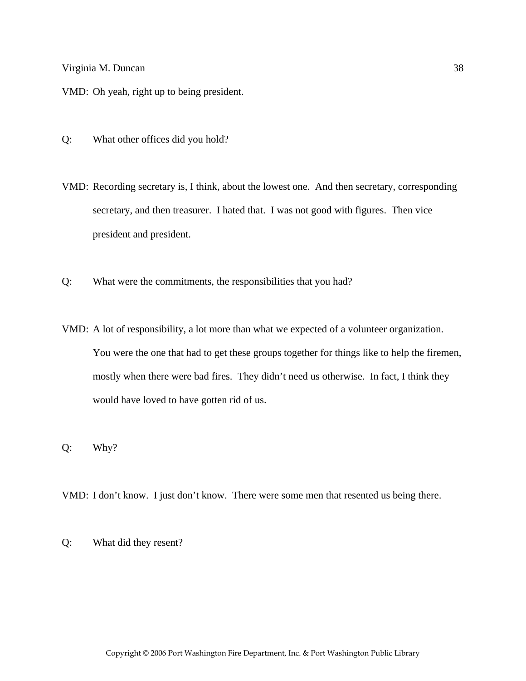VMD: Oh yeah, right up to being president.

- Q: What other offices did you hold?
- VMD: Recording secretary is, I think, about the lowest one. And then secretary, corresponding secretary, and then treasurer. I hated that. I was not good with figures. Then vice president and president.
- Q: What were the commitments, the responsibilities that you had?
- VMD: A lot of responsibility, a lot more than what we expected of a volunteer organization. You were the one that had to get these groups together for things like to help the firemen, mostly when there were bad fires. They didn't need us otherwise. In fact, I think they would have loved to have gotten rid of us.
- Q: Why?

VMD: I don't know. I just don't know. There were some men that resented us being there.

Q: What did they resent?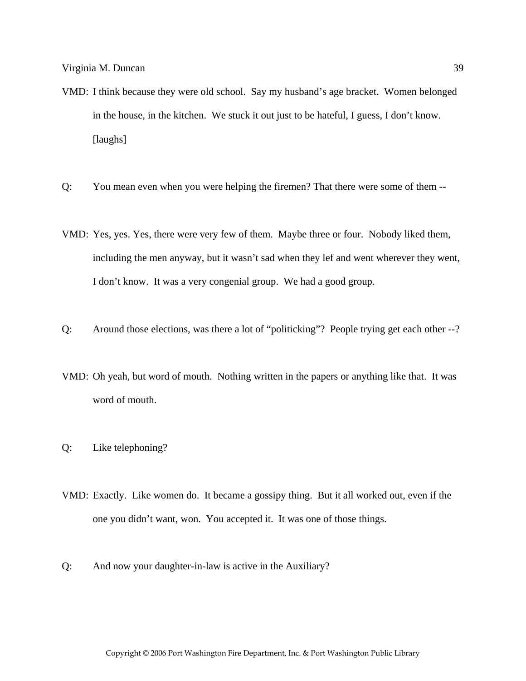- VMD: I think because they were old school. Say my husband's age bracket. Women belonged in the house, in the kitchen. We stuck it out just to be hateful, I guess, I don't know. [laughs]
- Q: You mean even when you were helping the firemen? That there were some of them --
- VMD: Yes, yes. Yes, there were very few of them. Maybe three or four. Nobody liked them, including the men anyway, but it wasn't sad when they lef and went wherever they went, I don't know. It was a very congenial group. We had a good group.
- Q: Around those elections, was there a lot of "politicking"? People trying get each other --?
- VMD: Oh yeah, but word of mouth. Nothing written in the papers or anything like that. It was word of mouth.
- Q: Like telephoning?
- VMD: Exactly. Like women do. It became a gossipy thing. But it all worked out, even if the one you didn't want, won. You accepted it. It was one of those things.
- Q: And now your daughter-in-law is active in the Auxiliary?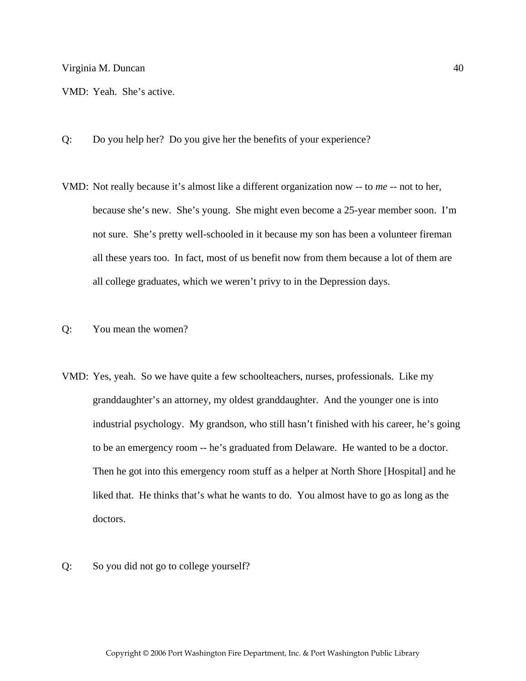VMD: Yeah. She's active.

- Q: Do you help her? Do you give her the benefits of your experience?
- VMD: Not really because it's almost like a different organization now -- to *me* -- not to her, because she's new. She's young. She might even become a 25-year member soon. I'm not sure. She's pretty well-schooled in it because my son has been a volunteer fireman all these years too. In fact, most of us benefit now from them because a lot of them are all college graduates, which we weren't privy to in the Depression days.
- Q: You mean the women?
- VMD: Yes, yeah. So we have quite a few schoolteachers, nurses, professionals. Like my granddaughter's an attorney, my oldest granddaughter. And the younger one is into industrial psychology. My grandson, who still hasn't finished with his career, he's going to be an emergency room -- he's graduated from Delaware. He wanted to be a doctor. Then he got into this emergency room stuff as a helper at North Shore [Hospital] and he liked that. He thinks that's what he wants to do. You almost have to go as long as the doctors.
- Q: So you did not go to college yourself?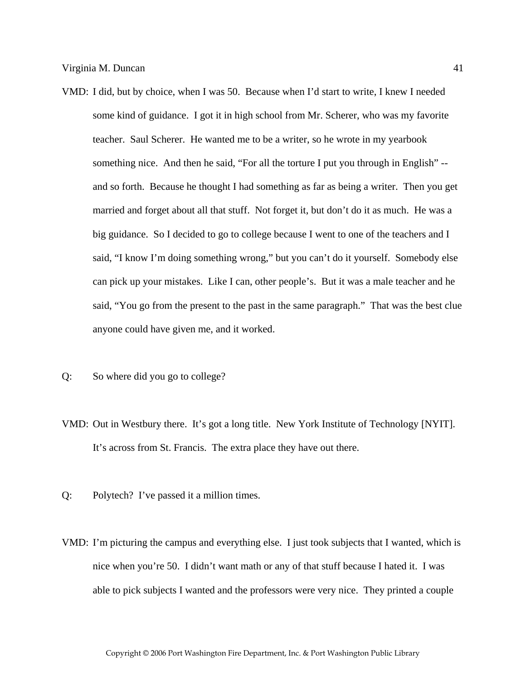- VMD: I did, but by choice, when I was 50. Because when I'd start to write, I knew I needed some kind of guidance. I got it in high school from Mr. Scherer, who was my favorite teacher. Saul Scherer. He wanted me to be a writer, so he wrote in my yearbook something nice. And then he said, "For all the torture I put you through in English" - and so forth. Because he thought I had something as far as being a writer. Then you get married and forget about all that stuff. Not forget it, but don't do it as much. He was a big guidance. So I decided to go to college because I went to one of the teachers and I said, "I know I'm doing something wrong," but you can't do it yourself. Somebody else can pick up your mistakes. Like I can, other people's. But it was a male teacher and he said, "You go from the present to the past in the same paragraph." That was the best clue anyone could have given me, and it worked.
- Q: So where did you go to college?
- VMD: Out in Westbury there. It's got a long title. New York Institute of Technology [NYIT]. It's across from St. Francis. The extra place they have out there.
- Q: Polytech? I've passed it a million times.
- VMD: I'm picturing the campus and everything else. I just took subjects that I wanted, which is nice when you're 50. I didn't want math or any of that stuff because I hated it. I was able to pick subjects I wanted and the professors were very nice. They printed a couple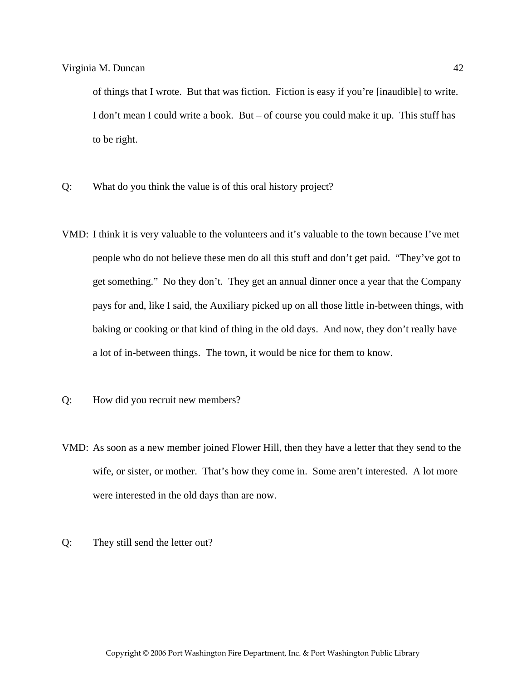of things that I wrote. But that was fiction. Fiction is easy if you're [inaudible] to write. I don't mean I could write a book. But – of course you could make it up. This stuff has to be right.

- Q: What do you think the value is of this oral history project?
- VMD: I think it is very valuable to the volunteers and it's valuable to the town because I've met people who do not believe these men do all this stuff and don't get paid. "They've got to get something." No they don't. They get an annual dinner once a year that the Company pays for and, like I said, the Auxiliary picked up on all those little in-between things, with baking or cooking or that kind of thing in the old days. And now, they don't really have a lot of in-between things. The town, it would be nice for them to know.
- Q: How did you recruit new members?
- VMD: As soon as a new member joined Flower Hill, then they have a letter that they send to the wife, or sister, or mother. That's how they come in. Some aren't interested. A lot more were interested in the old days than are now.
- Q: They still send the letter out?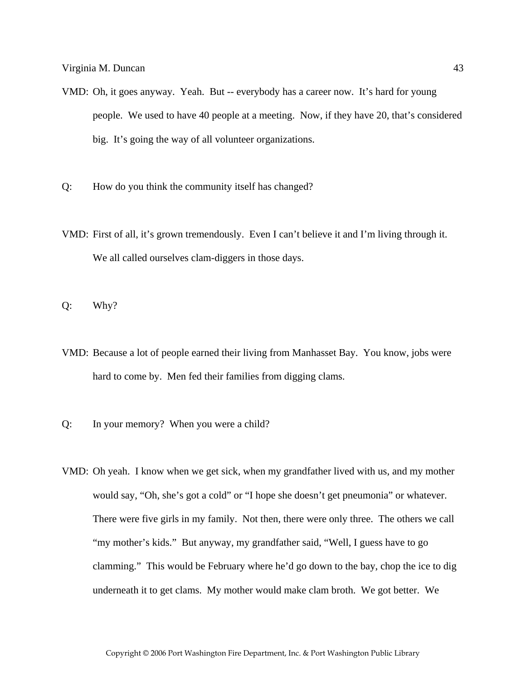- VMD: Oh, it goes anyway. Yeah. But -- everybody has a career now. It's hard for young people. We used to have 40 people at a meeting. Now, if they have 20, that's considered big. It's going the way of all volunteer organizations.
- Q: How do you think the community itself has changed?
- VMD: First of all, it's grown tremendously. Even I can't believe it and I'm living through it. We all called ourselves clam-diggers in those days.
- Q: Why?
- VMD: Because a lot of people earned their living from Manhasset Bay. You know, jobs were hard to come by. Men fed their families from digging clams.
- Q: In your memory? When you were a child?
- VMD: Oh yeah. I know when we get sick, when my grandfather lived with us, and my mother would say, "Oh, she's got a cold" or "I hope she doesn't get pneumonia" or whatever. There were five girls in my family. Not then, there were only three. The others we call "my mother's kids." But anyway, my grandfather said, "Well, I guess have to go clamming." This would be February where he'd go down to the bay, chop the ice to dig underneath it to get clams. My mother would make clam broth. We got better. We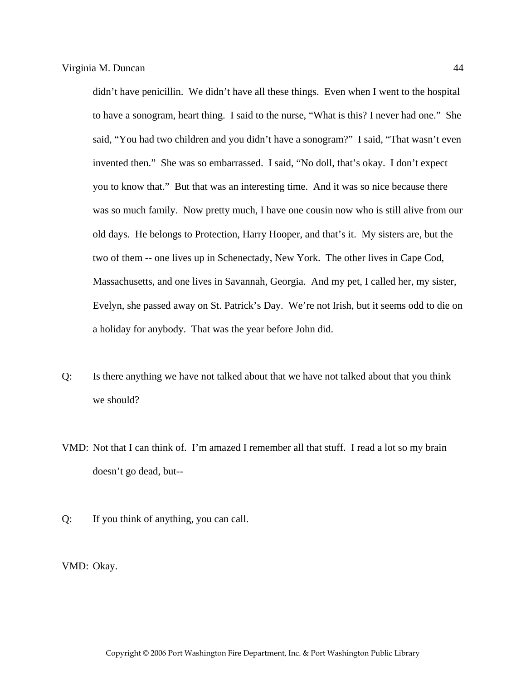didn't have penicillin. We didn't have all these things. Even when I went to the hospital to have a sonogram, heart thing. I said to the nurse, "What is this? I never had one." She said, "You had two children and you didn't have a sonogram?" I said, "That wasn't even invented then." She was so embarrassed. I said, "No doll, that's okay. I don't expect you to know that." But that was an interesting time. And it was so nice because there was so much family. Now pretty much, I have one cousin now who is still alive from our old days. He belongs to Protection, Harry Hooper, and that's it. My sisters are, but the two of them -- one lives up in Schenectady, New York. The other lives in Cape Cod, Massachusetts, and one lives in Savannah, Georgia. And my pet, I called her, my sister, Evelyn, she passed away on St. Patrick's Day. We're not Irish, but it seems odd to die on a holiday for anybody. That was the year before John did.

- Q: Is there anything we have not talked about that we have not talked about that you think we should?
- VMD: Not that I can think of. I'm amazed I remember all that stuff. I read a lot so my brain doesn't go dead, but--
- Q: If you think of anything, you can call.

VMD: Okay.